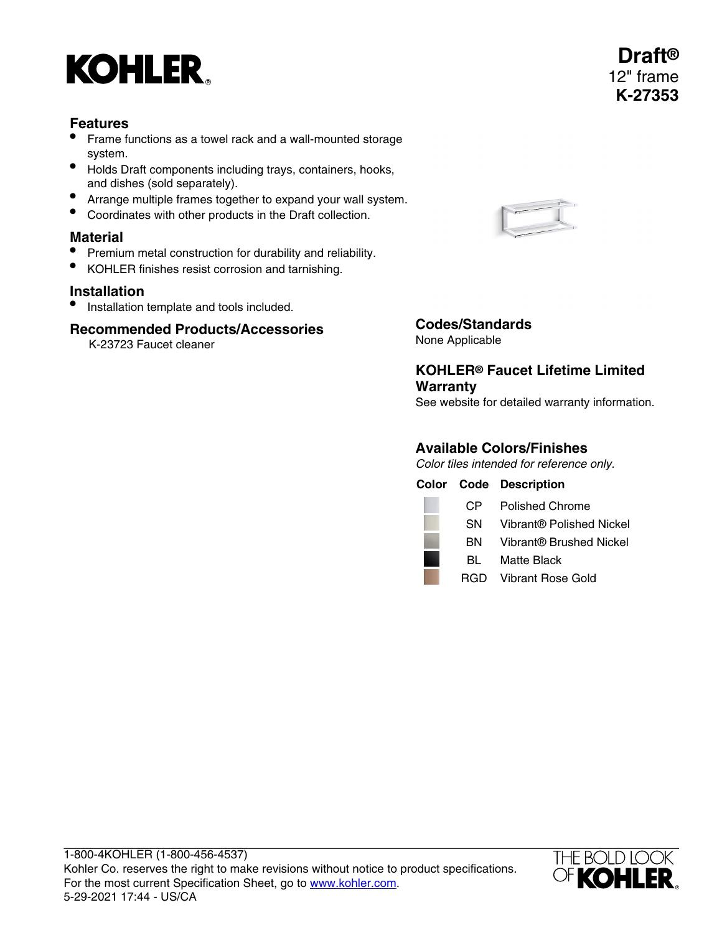# **KOHLER**

## **Features**

- Frame functions as a towel rack and a wall-mounted storage system.
- Holds Draft components including trays, containers, hooks, and dishes (sold separately).
- Arrange multiple frames together to expand your wall system.
- Coordinates with other products in the Draft collection.

## **Material**

- Premium metal construction for durability and reliability.
- KOHLER finishes resist corrosion and tarnishing.

## **Installation**

• Installation template and tools included.

## **Recommended Products/Accessories**

K-23723 Faucet cleaner



## **Codes/Standards**

None Applicable

## **KOHLER® Faucet Lifetime Limited Warranty**

See website for detailed warranty information.

## **Available Colors/Finishes**

Color tiles intended for reference only.

|     | <b>Color Code Description</b> |
|-----|-------------------------------|
| CP. | Polished Chrome               |
| SN. | Vibrant® Polished Nickel      |
| BN  | Vibrant® Brushed Nickel       |
| BL. | Matte Black                   |
|     | RGD Vibrant Rose Gold         |